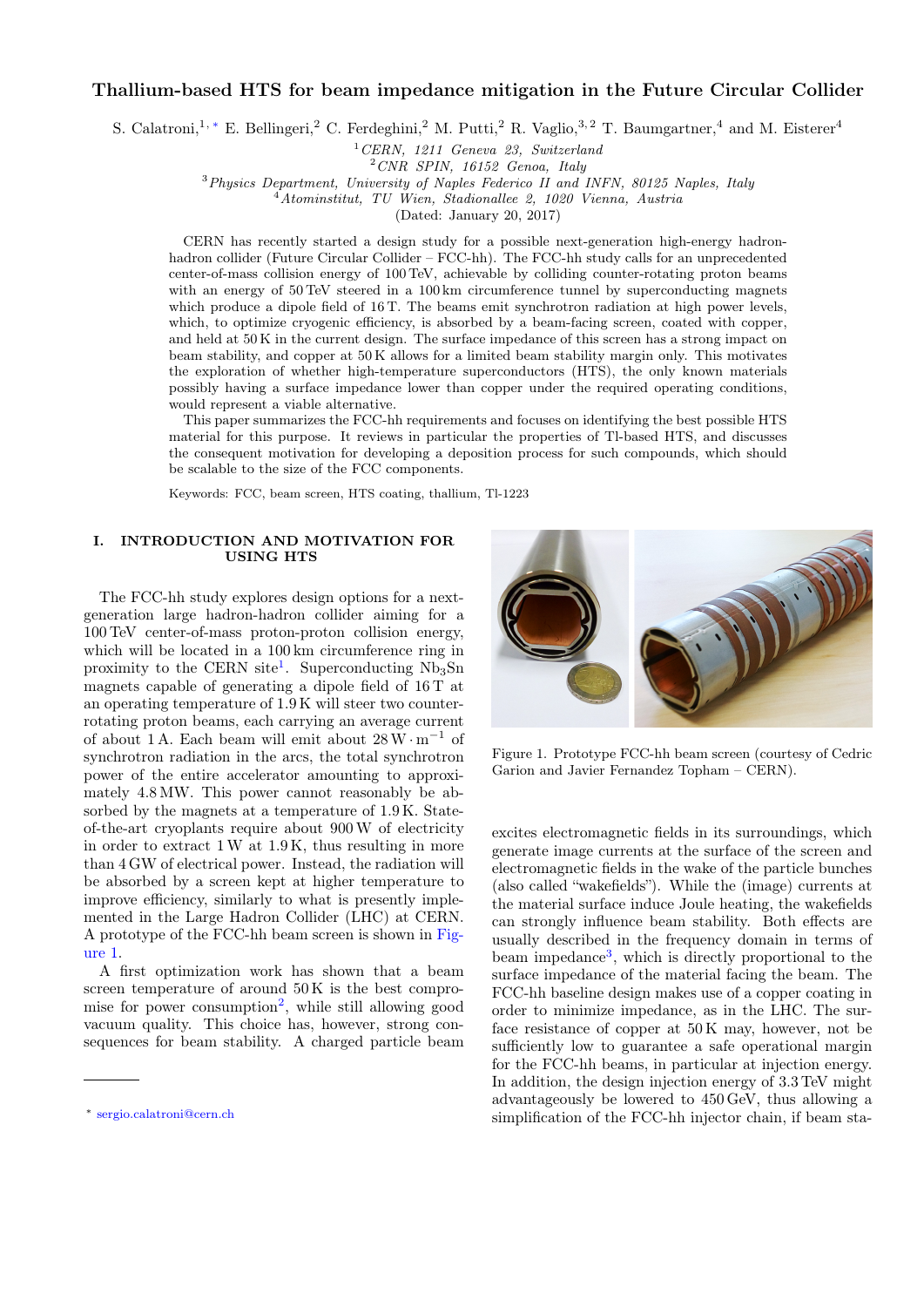# Thallium-based HTS for beam impedance mitigation in the Future Circular Collider

S. Calatroni,<sup>1, \*</sup> E. Bellingeri,<sup>2</sup> C. Ferdeghini,<sup>2</sup> M. Putti,<sup>2</sup> R. Vaglio,<sup>3,2</sup> T. Baumgartner,<sup>4</sup> and M. Eisterer<sup>4</sup>

 ${}^{1}CERN$ , 1211 Geneva 23, Switzerland

 $2$  CNR SPIN, 16152 Genoa, Italy

<sup>3</sup>Physics Department, University of Naples Federico II and INFN, 80125 Naples, Italy

 $\hat{A}$ Atominstitut, TU Wien, Stadionallee 2, 1020 Vienna, Austria

(Dated: January 20, 2017)

CERN has recently started a design study for a possible next-generation high-energy hadronhadron collider (Future Circular Collider – FCC-hh). The FCC-hh study calls for an unprecedented center-of-mass collision energy of 100 TeV, achievable by colliding counter-rotating proton beams with an energy of 50 TeV steered in a 100 km circumference tunnel by superconducting magnets which produce a dipole field of 16 T. The beams emit synchrotron radiation at high power levels, which, to optimize cryogenic efficiency, is absorbed by a beam-facing screen, coated with copper, and held at 50 K in the current design. The surface impedance of this screen has a strong impact on beam stability, and copper at 50 K allows for a limited beam stability margin only. This motivates the exploration of whether high-temperature superconductors (HTS), the only known materials possibly having a surface impedance lower than copper under the required operating conditions, would represent a viable alternative.

This paper summarizes the FCC-hh requirements and focuses on identifying the best possible HTS material for this purpose. It reviews in particular the properties of Tl-based HTS, and discusses the consequent motivation for developing a deposition process for such compounds, which should be scalable to the size of the FCC components.

Keywords: FCC, beam screen, HTS coating, thallium, Tl-1223

# I. INTRODUCTION AND MOTIVATION FOR USING HTS

The FCC-hh study explores design options for a nextgeneration large hadron-hadron collider aiming for a 100 TeV center-of-mass proton-proton collision energy, which will be located in a  $100 \text{ km}$  circumference ring in proximity to the CERN site<sup>[1](#page-5-0)</sup>. Superconducting  $Nb<sub>3</sub>Sn$ magnets capable of generating a dipole field of 16 T at an operating temperature of 1.9 K will steer two counterrotating proton beams, each carrying an average current of about 1 A. Each beam will emit about 28W · m<sup>−</sup><sup>1</sup> of synchrotron radiation in the arcs, the total synchrotron power of the entire accelerator amounting to approximately 4.8 MW. This power cannot reasonably be absorbed by the magnets at a temperature of 1.9 K. Stateof-the-art cryoplants require about 900W of electricity in order to extract 1W at 1.9 K, thus resulting in more than 4 GW of electrical power. Instead, the radiation will be absorbed by a screen kept at higher temperature to improve efficiency, similarly to what is presently implemented in the Large Hadron Collider (LHC) at CERN. A prototype of the FCC-hh beam screen is shown in [Fig](#page-0-1)[ure 1.](#page-0-1)

A first optimization work has shown that a beam screen temperature of around  $50K$  is the best compro-mise for power consumption<sup>[2](#page-5-1)</sup>, while still allowing good vacuum quality. This choice has, however, strong consequences for beam stability. A charged particle beam



Figure 1. Prototype FCC-hh beam screen (courtesy of Cedric Garion and Javier Fernandez Topham – CERN).

<span id="page-0-1"></span>excites electromagnetic fields in its surroundings, which generate image currents at the surface of the screen and electromagnetic fields in the wake of the particle bunches (also called "wakefields"). While the (image) currents at the material surface induce Joule heating, the wakefields can strongly influence beam stability. Both effects are usually described in the frequency domain in terms of beam impedance<sup>[3](#page-5-2)</sup>, which is directly proportional to the surface impedance of the material facing the beam. The FCC-hh baseline design makes use of a copper coating in order to minimize impedance, as in the LHC. The surface resistance of copper at 50 K may, however, not be sufficiently low to guarantee a safe operational margin for the FCC-hh beams, in particular at injection energy. In addition, the design injection energy of 3.3 TeV might advantageously be lowered to 450 GeV, thus allowing a simplification of the FCC-hh injector chain, if beam sta-

<span id="page-0-0"></span><sup>∗</sup> [sergio.calatroni@cern.ch](mailto:sergio.calatroni@cern.ch)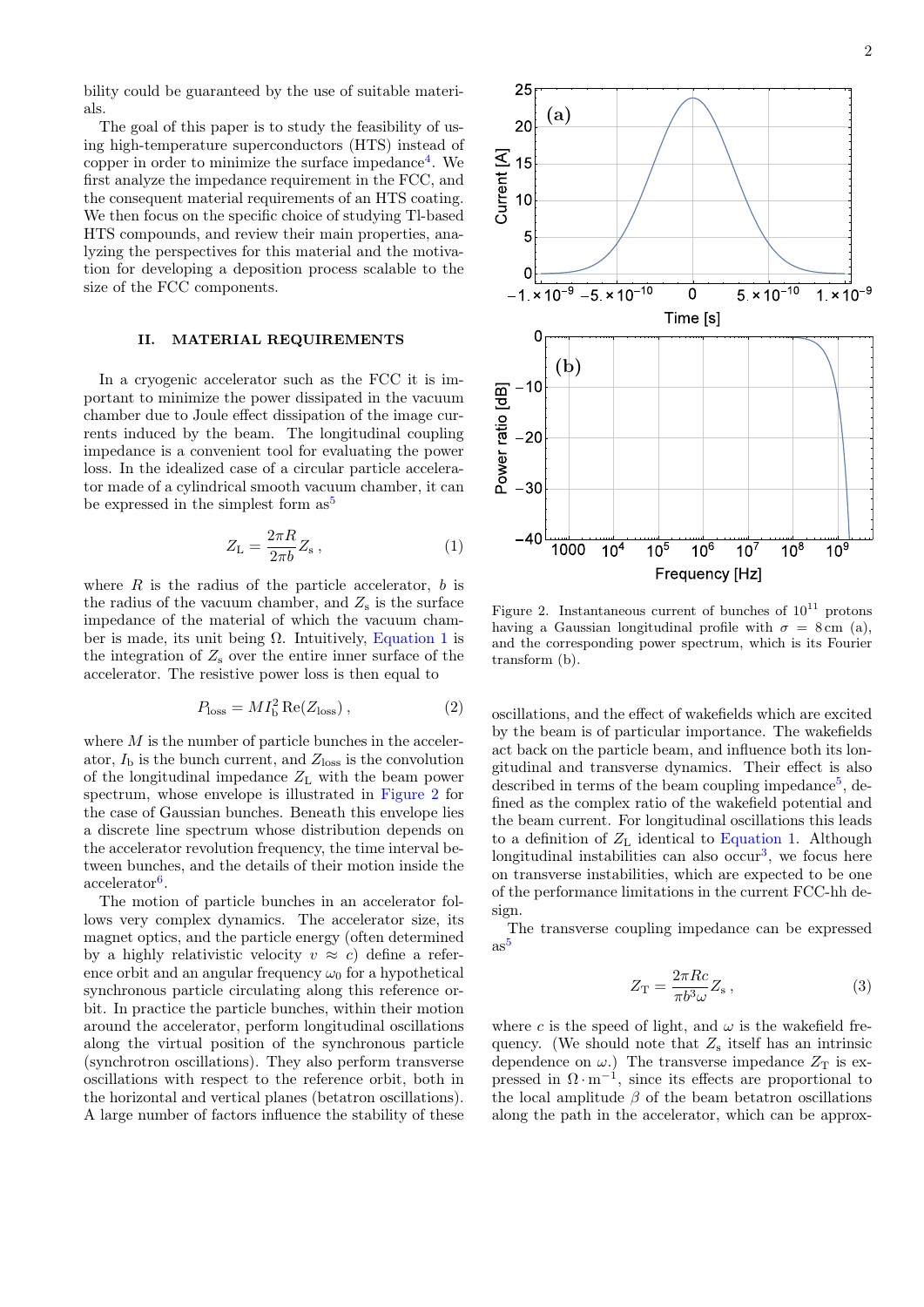bility could be guaranteed by the use of suitable materials.

The goal of this paper is to study the feasibility of using high-temperature superconductors (HTS) instead of copper in order to minimize the surface impedance<sup>[4](#page-5-3)</sup>. We first analyze the impedance requirement in the FCC, and the consequent material requirements of an HTS coating. We then focus on the specific choice of studying Tl-based HTS compounds, and review their main properties, analyzing the perspectives for this material and the motivation for developing a deposition process scalable to the size of the FCC components.

## II. MATERIAL REQUIREMENTS

In a cryogenic accelerator such as the FCC it is important to minimize the power dissipated in the vacuum chamber due to Joule effect dissipation of the image currents induced by the beam. The longitudinal coupling impedance is a convenient tool for evaluating the power loss. In the idealized case of a circular particle accelerator made of a cylindrical smooth vacuum chamber, it can be expressed in the simplest form  $as^5$  $as^5$ 

<span id="page-1-0"></span>
$$
Z_{\rm L} = \frac{2\pi R}{2\pi b} Z_{\rm s} \,, \tag{1}
$$

where  $R$  is the radius of the particle accelerator,  $b$  is the radius of the vacuum chamber, and  $Z_s$  is the surface impedance of the material of which the vacuum chamber is made, its unit being  $\Omega$ . Intuitively, [Equation 1](#page-1-0) is the integration of  $Z_s$  over the entire inner surface of the accelerator. The resistive power loss is then equal to

$$
P_{\rm loss} = M I_{\rm b}^2 \operatorname{Re}(Z_{\rm loss}),\tag{2}
$$

where  $M$  is the number of particle bunches in the accelerator,  $I<sub>b</sub>$  is the bunch current, and  $Z<sub>loss</sub>$  is the convolution of the longitudinal impedance  $Z_L$  with the beam power spectrum, whose envelope is illustrated in [Figure 2](#page-1-1) for the case of Gaussian bunches. Beneath this envelope lies a discrete line spectrum whose distribution depends on the accelerator revolution frequency, the time interval between bunches, and the details of their motion inside the accelerator<sup>[6](#page-5-5)</sup>.

The motion of particle bunches in an accelerator follows very complex dynamics. The accelerator size, its magnet optics, and the particle energy (often determined by a highly relativistic velocity  $v \approx c$ ) define a reference orbit and an angular frequency  $\omega_0$  for a hypothetical synchronous particle circulating along this reference orbit. In practice the particle bunches, within their motion around the accelerator, perform longitudinal oscillations along the virtual position of the synchronous particle (synchrotron oscillations). They also perform transverse oscillations with respect to the reference orbit, both in the horizontal and vertical planes (betatron oscillations). A large number of factors influence the stability of these



<span id="page-1-1"></span>Figure 2. Instantaneous current of bunches of  $10^{11}$  protons having a Gaussian longitudinal profile with  $\sigma = 8 \text{ cm}$  (a), and the corresponding power spectrum, which is its Fourier transform (b).

oscillations, and the effect of wakefields which are excited by the beam is of particular importance. The wakefields act back on the particle beam, and influence both its longitudinal and transverse dynamics. Their effect is also described in terms of the beam coupling impedance<sup>[5](#page-5-4)</sup>, defined as the complex ratio of the wakefield potential and the beam current. For longitudinal oscillations this leads to a definition of  $Z_L$  identical to [Equation 1.](#page-1-0) Although longitudinal instabilities can also occur<sup>[3](#page-5-2)</sup>, we focus here on transverse instabilities, which are expected to be one of the performance limitations in the current FCC-hh design.

The transverse coupling impedance can be expressed  $as^5$  $as^5$ 

<span id="page-1-2"></span>
$$
Z_{\rm T} = \frac{2\pi Rc}{\pi b^3 \omega} Z_{\rm s} \,, \tag{3}
$$

where c is the speed of light, and  $\omega$  is the wakefield frequency. (We should note that  $Z_s$  itself has an intrinsic dependence on  $\omega$ .) The transverse impedance  $Z_T$  is expressed in  $\Omega \cdot m^{-1}$ , since its effects are proportional to the local amplitude  $\beta$  of the beam betatron oscillations along the path in the accelerator, which can be approx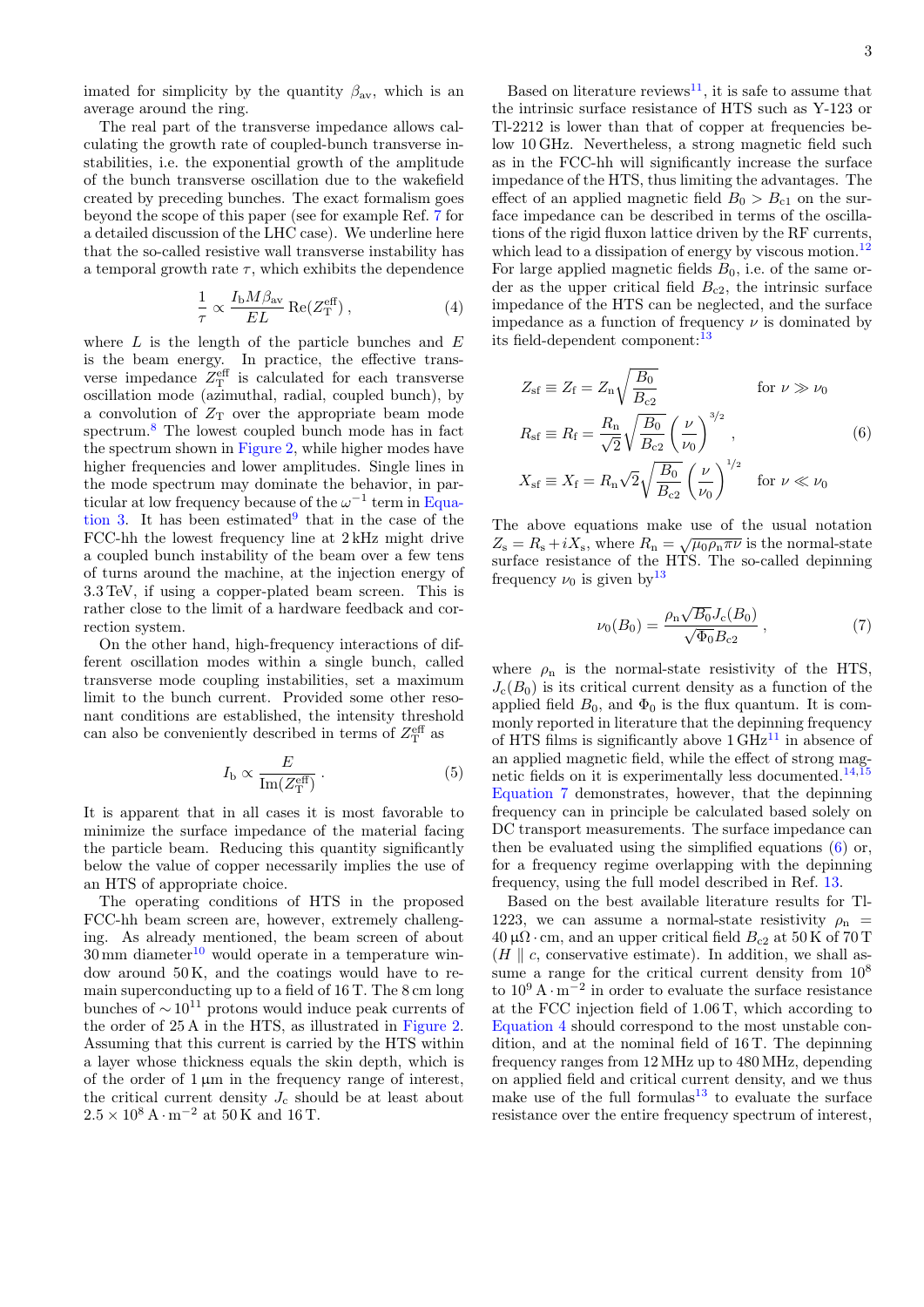imated for simplicity by the quantity  $\beta_{\text{av}}$ , which is an average around the ring.

The real part of the transverse impedance allows calculating the growth rate of coupled-bunch transverse instabilities, i.e. the exponential growth of the amplitude of the bunch transverse oscillation due to the wakefield created by preceding bunches. The exact formalism goes beyond the scope of this paper (see for example Ref. [7](#page-5-6) for a detailed discussion of the LHC case). We underline here that the so-called resistive wall transverse instability has a temporal growth rate  $\tau$ , which exhibits the dependence

<span id="page-2-2"></span>
$$
\frac{1}{\tau} \propto \frac{I_{\rm b} M \beta_{\rm av}}{EL} \operatorname{Re}(Z_{\rm T}^{\rm eff}),\tag{4}
$$

where  $L$  is the length of the particle bunches and  $E$ is the beam energy. In practice, the effective transverse impedance  $Z_{\rm T}^{\rm eff}$  is calculated for each transverse oscillation mode (azimuthal, radial, coupled bunch), by a convolution of  $Z_T$  over the appropriate beam mode spectrum. $8$  The lowest coupled bunch mode has in fact the spectrum shown in [Figure 2,](#page-1-1) while higher modes have higher frequencies and lower amplitudes. Single lines in the mode spectrum may dominate the behavior, in particular at low frequency because of the  $\omega^{-1}$  term in [Equa](#page-1-2)[tion 3.](#page-1-2) It has been estimated  $9$  that in the case of the FCC-hh the lowest frequency line at 2 kHz might drive a coupled bunch instability of the beam over a few tens of turns around the machine, at the injection energy of 3.3 TeV, if using a copper-plated beam screen. This is rather close to the limit of a hardware feedback and correction system.

On the other hand, high-frequency interactions of different oscillation modes within a single bunch, called transverse mode coupling instabilities, set a maximum limit to the bunch current. Provided some other resonant conditions are established, the intensity threshold can also be conveniently described in terms of  $Z_{\rm T}^{\rm eff}$  as

$$
I_{\rm b} \propto \frac{E}{\rm Im}(Z_{\rm T}^{\rm eff}) \ . \tag{5}
$$

It is apparent that in all cases it is most favorable to minimize the surface impedance of the material facing the particle beam. Reducing this quantity significantly below the value of copper necessarily implies the use of an HTS of appropriate choice.

The operating conditions of HTS in the proposed FCC-hh beam screen are, however, extremely challenging. As already mentioned, the beam screen of about  $30 \text{ mm}$  diameter<sup>[10](#page-5-9)</sup> would operate in a temperature window around 50 K, and the coatings would have to remain superconducting up to a field of 16 T. The 8 cm long bunches of  $\sim 10^{11}$  protons would induce peak currents of the order of 25 A in the HTS, as illustrated in [Figure 2.](#page-1-1) Assuming that this current is carried by the HTS within a layer whose thickness equals the skin depth, which is of the order of  $1 \mu m$  in the frequency range of interest, the critical current density  $J_c$  should be at least about  $2.5 \times 10^8$  A · m<sup>-2</sup> at 50 K and 16 T.

Based on literature reviews<sup>[11](#page-5-10)</sup>, it is safe to assume that the intrinsic surface resistance of HTS such as Y-123 or Tl-2212 is lower than that of copper at frequencies below 10 GHz. Nevertheless, a strong magnetic field such as in the FCC-hh will significantly increase the surface impedance of the HTS, thus limiting the advantages. The effect of an applied magnetic field  $B_0 > B_{c1}$  on the surface impedance can be described in terms of the oscillations of the rigid fluxon lattice driven by the RF currents, which lead to a dissipation of energy by viscous motion.<sup>[12](#page-5-11)</sup> For large applied magnetic fields  $B_0$ , i.e. of the same order as the upper critical field  $B_{c2}$ , the intrinsic surface impedance of the HTS can be neglected, and the surface impedance as a function of frequency  $\nu$  is dominated by its field-dependent component:<sup>[13](#page-5-12)</sup>

$$
Z_{\rm sf} \equiv Z_{\rm f} = Z_{\rm n} \sqrt{\frac{B_0}{B_{\rm c2}}} \qquad \qquad \text{for } \nu \gg \nu_0
$$

$$
R_{\rm sf} \equiv R_{\rm f} = \frac{R_{\rm n}}{\sqrt{2}} \sqrt{\frac{B_0}{B_{\rm c2}}} \left(\frac{\nu}{\nu_0}\right)^{3/2}, \qquad (6)
$$

<span id="page-2-1"></span>
$$
X_{\rm sf} \equiv X_{\rm f} = R_{\rm n} \sqrt{2} \sqrt{\frac{B_0}{B_{\rm c2}}} \left(\frac{\nu}{\nu_0}\right)^{1/2} \quad \text{for } \nu \ll \nu_0
$$

The above equations make use of the usual notation The above equations make use of the usual notation<br> $Z_s = R_s + iX_s$ , where  $R_n = \sqrt{\mu_0 \rho_n \pi \nu}$  is the normal-state surface resistance of the HTS. The so-called depinning frequency  $\nu_0$  is given by  $13$ 

<span id="page-2-0"></span>
$$
\nu_0(B_0) = \frac{\rho_{\rm n} \sqrt{B_0} J_{\rm c}(B_0)}{\sqrt{\Phi_0} B_{\rm c2}} , \qquad (7)
$$

where  $\rho_n$  is the normal-state resistivity of the HTS,  $J_c(B_0)$  is its critical current density as a function of the applied field  $B_0$ , and  $\Phi_0$  is the flux quantum. It is commonly reported in literature that the depinning frequency of HTS films is significantly above  $1 \text{ GHz}^{11}$  $1 \text{ GHz}^{11}$  $1 \text{ GHz}^{11}$  in absence of an applied magnetic field, while the effect of strong mag-netic fields on it is experimentally less documented.<sup>[14](#page-5-13)[,15](#page-5-14)</sup> [Equation 7](#page-2-0) demonstrates, however, that the depinning frequency can in principle be calculated based solely on DC transport measurements. The surface impedance can then be evaluated using the simplified equations [\(6\)](#page-2-1) or, for a frequency regime overlapping with the depinning frequency, using the full model described in Ref. [13.](#page-5-12)

Based on the best available literature results for Tl-1223, we can assume a normal-state resistivity  $\rho_n$  =  $40 \,\mu\Omega \cdot \text{cm}$ , and an upper critical field  $B_{c2}$  at  $50 \,\text{K}$  of  $70 \,\text{T}$  $(H \parallel c$ , conservative estimate). In addition, we shall assume a range for the critical current density from  $10^8$ to  $10^9 \text{ A} \cdot \text{m}^{-2}$  in order to evaluate the surface resistance at the FCC injection field of 1.06 T, which according to [Equation 4](#page-2-2) should correspond to the most unstable condition, and at the nominal field of 16 T. The depinning frequency ranges from 12 MHz up to 480 MHz, depending on applied field and critical current density, and we thus make use of the full formulas<sup>[13](#page-5-12)</sup> to evaluate the surface resistance over the entire frequency spectrum of interest,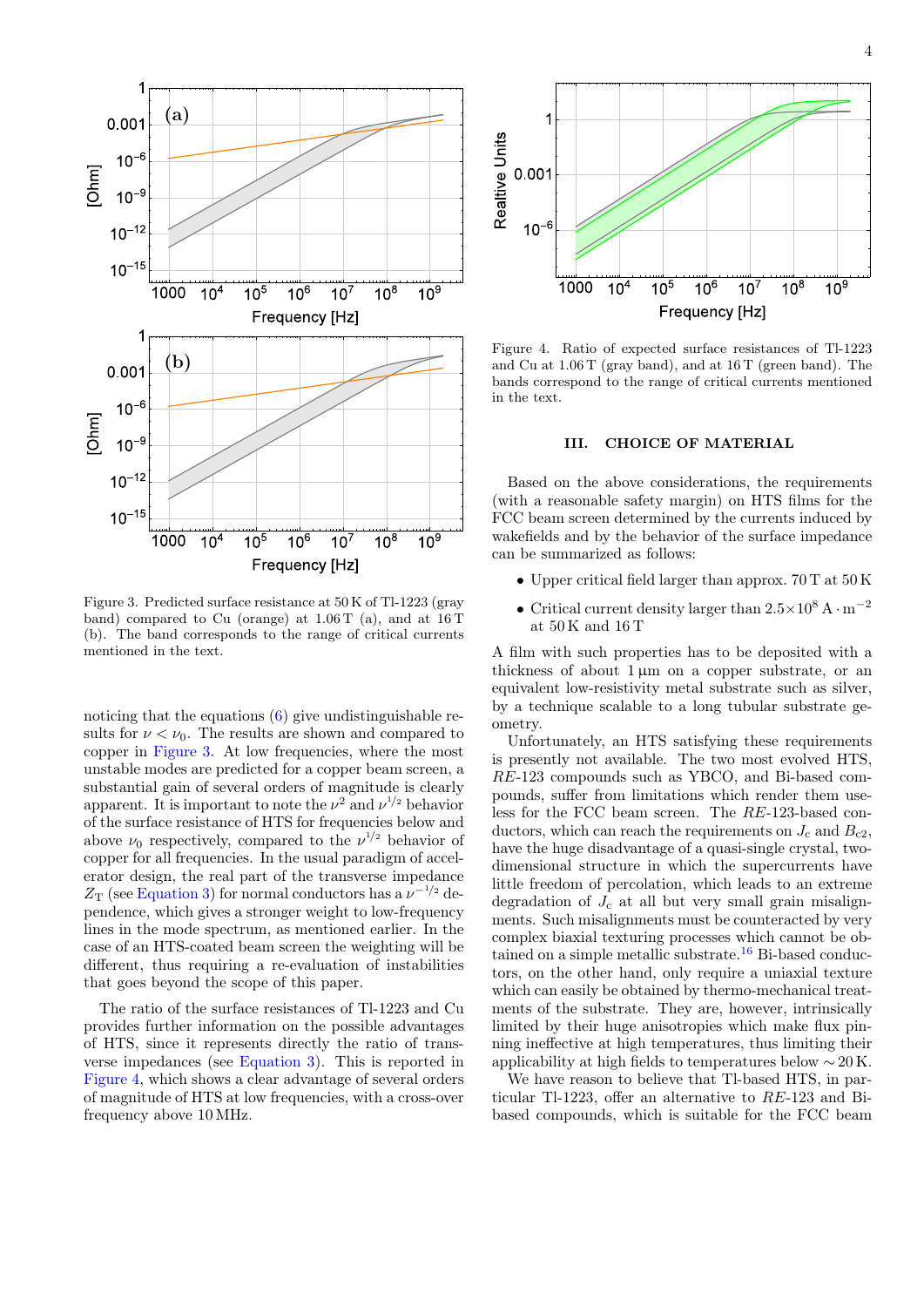

<span id="page-3-0"></span>Figure 3. Predicted surface resistance at 50 K of Tl-1223 (gray band) compared to Cu (orange) at 1.06 T (a), and at 16 T (b). The band corresponds to the range of critical currents mentioned in the text.

noticing that the equations  $(6)$  give undistinguishable results for  $\nu < \nu_0$ . The results are shown and compared to copper in [Figure 3.](#page-3-0) At low frequencies, where the most unstable modes are predicted for a copper beam screen, a substantial gain of several orders of magnitude is clearly apparent. It is important to note the  $\nu^2$  and  $\nu^{1/2}$  behavior of the surface resistance of HTS for frequencies below and above  $\nu_0$  respectively, compared to the  $\nu^{1/2}$  behavior of copper for all frequencies. In the usual paradigm of accelerator design, the real part of the transverse impedance  $Z_{\rm T}$  (see [Equation 3\)](#page-1-2) for normal conductors has a  $\nu^{-1/2}$  dependence, which gives a stronger weight to low-frequency lines in the mode spectrum, as mentioned earlier. In the case of an HTS-coated beam screen the weighting will be different, thus requiring a re-evaluation of instabilities that goes beyond the scope of this paper.

The ratio of the surface resistances of Tl-1223 and Cu provides further information on the possible advantages of HTS, since it represents directly the ratio of transverse impedances (see [Equation 3\)](#page-1-2). This is reported in [Figure 4,](#page-3-1) which shows a clear advantage of several orders of magnitude of HTS at low frequencies, with a cross-over frequency above 10 MHz.



<span id="page-3-1"></span>Figure 4. Ratio of expected surface resistances of Tl-1223 and Cu at 1.06 T (gray band), and at 16 T (green band). The bands correspond to the range of critical currents mentioned in the text.

#### III. CHOICE OF MATERIAL

Based on the above considerations, the requirements (with a reasonable safety margin) on HTS films for the FCC beam screen determined by the currents induced by wakefields and by the behavior of the surface impedance can be summarized as follows:

- Upper critical field larger than approx. 70 T at 50 K
- Critical current density larger than  $2.5 \times 10^8$  A · m<sup>-2</sup> at 50 K and 16 T

A film with such properties has to be deposited with a thickness of about  $1 \mu m$  on a copper substrate, or an equivalent low-resistivity metal substrate such as silver, by a technique scalable to a long tubular substrate geometry.

Unfortunately, an HTS satisfying these requirements is presently not available. The two most evolved HTS, RE-123 compounds such as YBCO, and Bi-based compounds, suffer from limitations which render them useless for the FCC beam screen. The RE-123-based conductors, which can reach the requirements on  $J_c$  and  $B_{c2}$ , have the huge disadvantage of a quasi-single crystal, twodimensional structure in which the supercurrents have little freedom of percolation, which leads to an extreme degradation of  $J_c$  at all but very small grain misalignments. Such misalignments must be counteracted by very complex biaxial texturing processes which cannot be ob-tained on a simple metallic substrate.<sup>[16](#page-5-15)</sup> Bi-based conductors, on the other hand, only require a uniaxial texture which can easily be obtained by thermo-mechanical treatments of the substrate. They are, however, intrinsically limited by their huge anisotropies which make flux pinning ineffective at high temperatures, thus limiting their applicability at high fields to temperatures below  $\sim 20 \text{ K}$ .

We have reason to believe that Tl-based HTS, in particular Tl-1223, offer an alternative to RE-123 and Bibased compounds, which is suitable for the FCC beam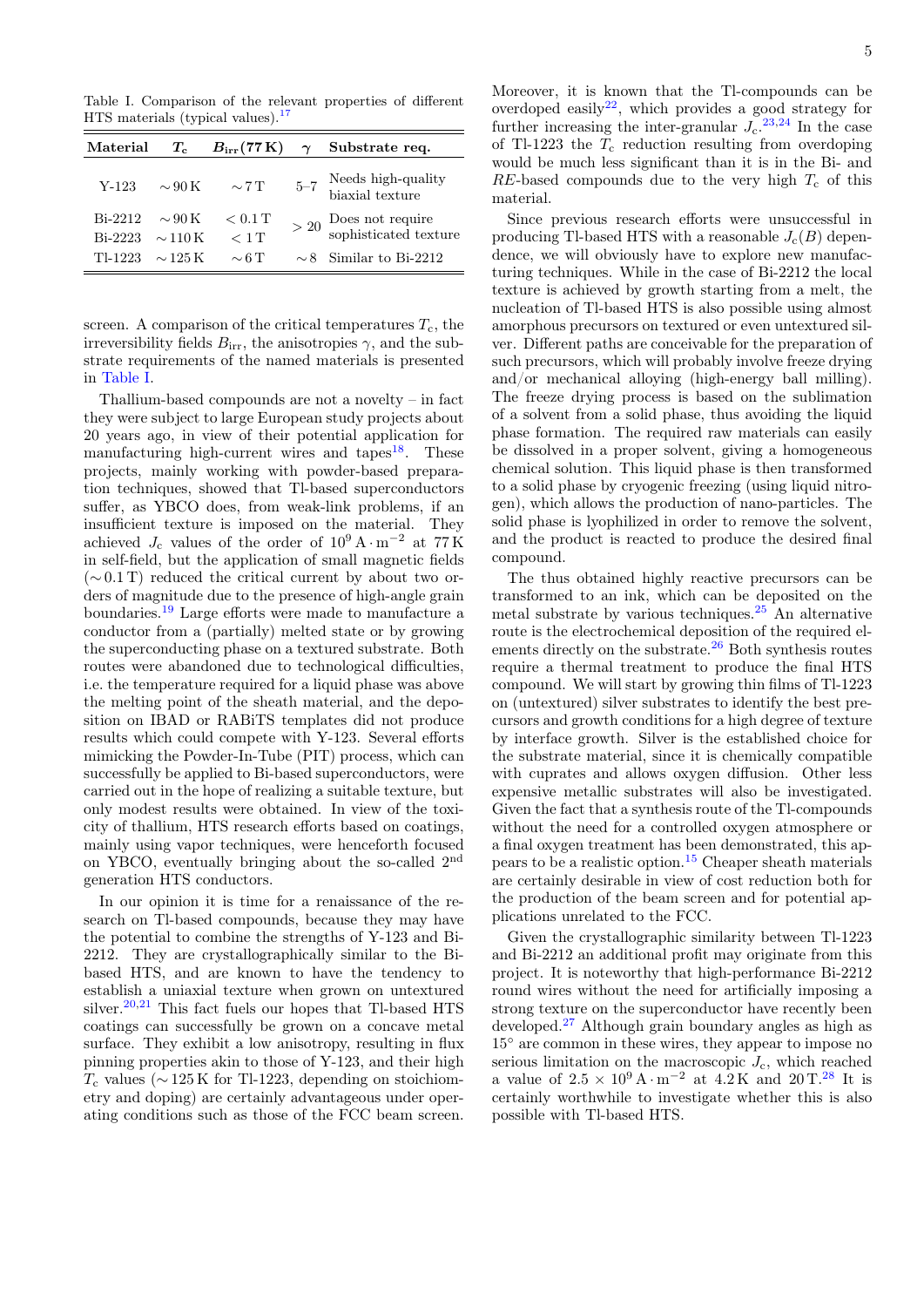<span id="page-4-0"></span>Table I. Comparison of the relevant properties of different  $HTS$  materials (typical values).<sup>[17](#page-5-16)</sup>

| Material                        | $T_{\rm c}$  |                       | $B_{irr}(77\,\mathrm{K})\quad \gamma$ Substrate req. |
|---------------------------------|--------------|-----------------------|------------------------------------------------------|
| $Y-123$                         | $\sim$ 90 K  | $\sim 7$ T            | $5-7$ Needs high-quality<br>biaxial texture          |
| Bi-2212 $\sim$ 90 K             |              | $< 0.1$ T             | $>$ 20 $\frac{Does}{ophisticated}$ texture           |
| Bi-2223 $\sim$ 110 K<br>TI-1223 | $\sim$ 125 K | $< 1$ T<br>$\sim 6$ T | $\sim$ 8 Similar to Bi-2212                          |

screen. A comparison of the critical temperatures  $T_c$ , the irreversibility fields  $B_{irr}$ , the anisotropies  $\gamma$ , and the substrate requirements of the named materials is presented in [Table I.](#page-4-0)

Thallium-based compounds are not a novelty – in fact they were subject to large European study projects about 20 years ago, in view of their potential application for manufacturing high-current wires and tapes<sup>[18](#page-5-17)</sup>. These projects, mainly working with powder-based preparation techniques, showed that Tl-based superconductors suffer, as YBCO does, from weak-link problems, if an insufficient texture is imposed on the material. They achieved  $J_c$  values of the order of  $10^9 \text{ A} \cdot \text{m}^{-2}$  at  $77 \text{ K}$ in self-field, but the application of small magnetic fields  $(\sim 0.1 \text{ T})$  reduced the critical current by about two orders of magnitude due to the presence of high-angle grain boundaries.[19](#page-5-18) Large efforts were made to manufacture a conductor from a (partially) melted state or by growing the superconducting phase on a textured substrate. Both routes were abandoned due to technological difficulties, i.e. the temperature required for a liquid phase was above the melting point of the sheath material, and the deposition on IBAD or RABiTS templates did not produce results which could compete with Y-123. Several efforts mimicking the Powder-In-Tube (PIT) process, which can successfully be applied to Bi-based superconductors, were carried out in the hope of realizing a suitable texture, but only modest results were obtained. In view of the toxicity of thallium, HTS research efforts based on coatings, mainly using vapor techniques, were henceforth focused on YBCO, eventually bringing about the so-called 2nd generation HTS conductors.

In our opinion it is time for a renaissance of the research on Tl-based compounds, because they may have the potential to combine the strengths of Y-123 and Bi-2212. They are crystallographically similar to the Bibased HTS, and are known to have the tendency to establish a uniaxial texture when grown on untextured silver.<sup>[20](#page-5-19)[,21](#page-5-20)</sup> This fact fuels our hopes that Tl-based HTS coatings can successfully be grown on a concave metal surface. They exhibit a low anisotropy, resulting in flux pinning properties akin to those of Y-123, and their high  $T_c$  values ( $\sim$  125 K for Tl-1223, depending on stoichiometry and doping) are certainly advantageous under operating conditions such as those of the FCC beam screen.

Moreover, it is known that the Tl-compounds can be overdoped easily<sup>[22](#page-5-21)</sup>, which provides a good strategy for further increasing the inter-granular  $J_c$ .<sup>[23](#page-5-22)[,24](#page-5-23)</sup> In the case of Tl-1223 the  $T_c$  reduction resulting from overdoping would be much less significant than it is in the Bi- and  $RE$ -based compounds due to the very high  $T_c$  of this material.

Since previous research efforts were unsuccessful in producing Tl-based HTS with a reasonable  $J_c(B)$  dependence, we will obviously have to explore new manufacturing techniques. While in the case of Bi-2212 the local texture is achieved by growth starting from a melt, the nucleation of Tl-based HTS is also possible using almost amorphous precursors on textured or even untextured silver. Different paths are conceivable for the preparation of such precursors, which will probably involve freeze drying and/or mechanical alloying (high-energy ball milling). The freeze drying process is based on the sublimation of a solvent from a solid phase, thus avoiding the liquid phase formation. The required raw materials can easily be dissolved in a proper solvent, giving a homogeneous chemical solution. This liquid phase is then transformed to a solid phase by cryogenic freezing (using liquid nitrogen), which allows the production of nano-particles. The solid phase is lyophilized in order to remove the solvent, and the product is reacted to produce the desired final compound.

The thus obtained highly reactive precursors can be transformed to an ink, which can be deposited on the metal substrate by various techniques.[25](#page-5-24) An alternative route is the electrochemical deposition of the required el-ements directly on the substrate.<sup>[26](#page-5-25)</sup> Both synthesis routes require a thermal treatment to produce the final HTS compound. We will start by growing thin films of Tl-1223 on (untextured) silver substrates to identify the best precursors and growth conditions for a high degree of texture by interface growth. Silver is the established choice for the substrate material, since it is chemically compatible with cuprates and allows oxygen diffusion. Other less expensive metallic substrates will also be investigated. Given the fact that a synthesis route of the Tl-compounds without the need for a controlled oxygen atmosphere or a final oxygen treatment has been demonstrated, this appears to be a realistic option.[15](#page-5-14) Cheaper sheath materials are certainly desirable in view of cost reduction both for the production of the beam screen and for potential applications unrelated to the FCC.

Given the crystallographic similarity between Tl-1223 and Bi-2212 an additional profit may originate from this project. It is noteworthy that high-performance Bi-2212 round wires without the need for artificially imposing a strong texture on the superconductor have recently been developed.[27](#page-5-26) Although grain boundary angles as high as 15◦ are common in these wires, they appear to impose no serious limitation on the macroscopic  $J_c$ , which reached a value of  $2.5 \times 10^9$  A · m<sup>-2</sup> at  $4.2$  K and  $20$  T.<sup>[28](#page-6-0)</sup> It is certainly worthwhile to investigate whether this is also possible with Tl-based HTS.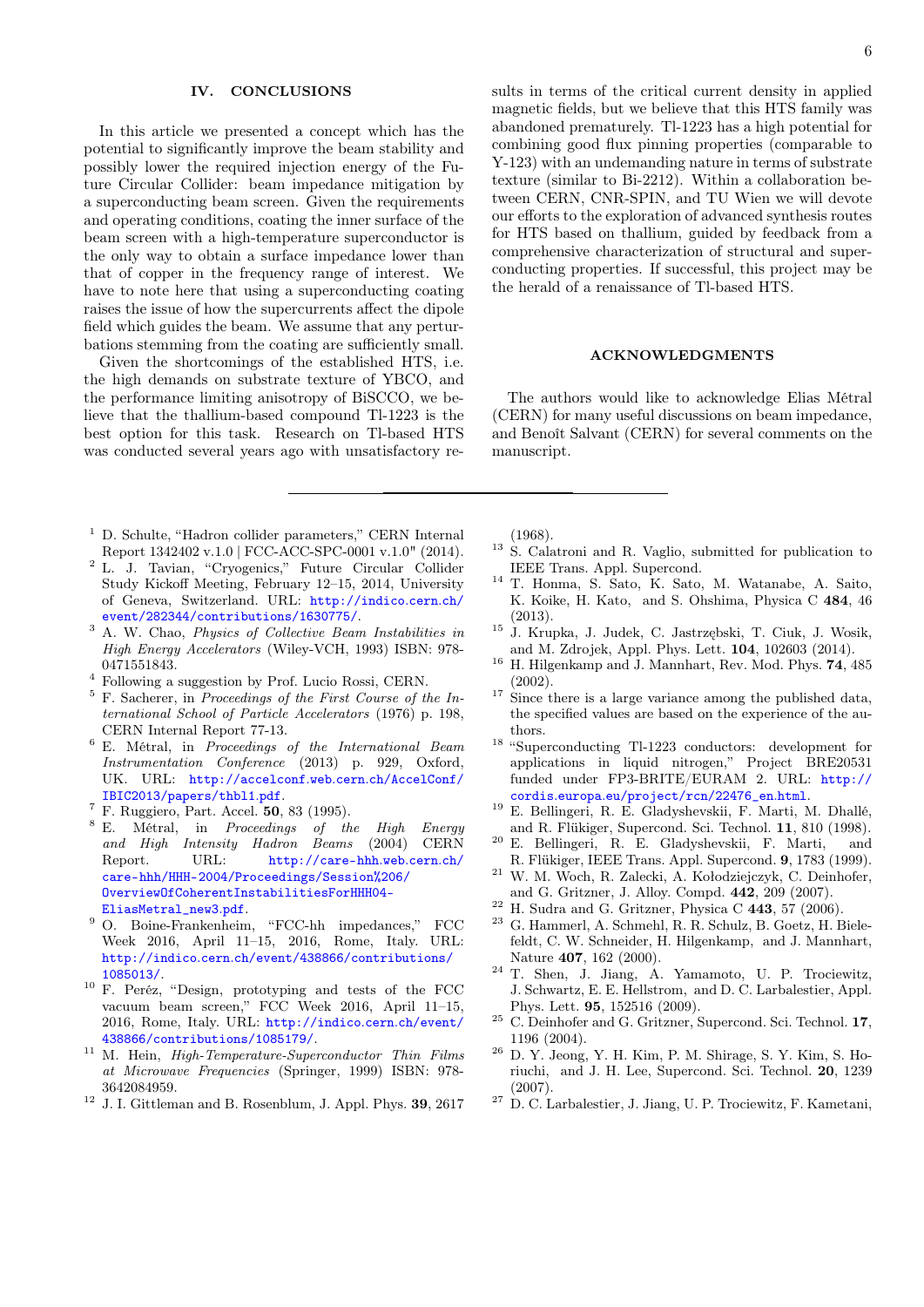### IV. CONCLUSIONS

In this article we presented a concept which has the potential to significantly improve the beam stability and possibly lower the required injection energy of the Future Circular Collider: beam impedance mitigation by a superconducting beam screen. Given the requirements and operating conditions, coating the inner surface of the beam screen with a high-temperature superconductor is the only way to obtain a surface impedance lower than that of copper in the frequency range of interest. We have to note here that using a superconducting coating raises the issue of how the supercurrents affect the dipole field which guides the beam. We assume that any perturbations stemming from the coating are sufficiently small.

Given the shortcomings of the established HTS, i.e. the high demands on substrate texture of YBCO, and the performance limiting anisotropy of BiSCCO, we believe that the thallium-based compound Tl-1223 is the best option for this task. Research on Tl-based HTS was conducted several years ago with unsatisfactory re-

- <span id="page-5-0"></span><sup>1</sup> D. Schulte, "Hadron collider parameters," CERN Internal Report 1342402 v.1.0 | FCC-ACC-SPC-0001 v.1.0" (2014).
- <span id="page-5-1"></span><sup>2</sup> L. J. Tavian, "Cryogenics," Future Circular Collider Study Kickoff Meeting, February 12–15, 2014, University of Geneva, Switzerland. URL: [http://indico](http://indico.cern.ch/event/282344/contributions/1630775/).cern.ch/ [event/282344/contributions/1630775/](http://indico.cern.ch/event/282344/contributions/1630775/).
- <span id="page-5-2"></span><sup>3</sup> A. W. Chao, Physics of Collective Beam Instabilities in High Energy Accelerators (Wiley-VCH, 1993) ISBN: 978- 0471551843.
- <span id="page-5-3"></span><sup>4</sup> Following a suggestion by Prof. Lucio Rossi, CERN.
- <span id="page-5-4"></span><sup>5</sup> F. Sacherer, in Proceedings of the First Course of the International School of Particle Accelerators (1976) p. 198, CERN Internal Report 77-13.
- <span id="page-5-5"></span><sup>6</sup> E. Métral, in Proceedings of the International Beam Instrumentation Conference (2013) p. 929, Oxford, UK. URL: [http://accelconf](http://accelconf.web.cern.ch/AccelConf/IBIC2013/papers/thbl1.pdf).web.cern.ch/AccelConf/ [IBIC2013/papers/thbl1](http://accelconf.web.cern.ch/AccelConf/IBIC2013/papers/thbl1.pdf).pdf.
- <span id="page-5-6"></span> $^7$  F. Ruggiero, Part. Accel. 50, 83 (1995).
- <span id="page-5-7"></span> $8$  E. Métral, in Proceedings of the High Energy and High Intensity Hadron Beams (2004) CERN Report. URL: [http://care-hhh](http://care-hhh.web.cern.ch/care-hhh/HHH-2004/Proceedings/Session%206/OverviewOfCoherentInstabilitiesForHHH04-EliasMetral_new3.pdf).web.cern.ch/ [care-hhh/HHH-2004/Proceedings/Session%206/](http://care-hhh.web.cern.ch/care-hhh/HHH-2004/Proceedings/Session%206/OverviewOfCoherentInstabilitiesForHHH04-EliasMetral_new3.pdf) [OverviewOfCoherentInstabilitiesForHHH04-](http://care-hhh.web.cern.ch/care-hhh/HHH-2004/Proceedings/Session%206/OverviewOfCoherentInstabilitiesForHHH04-EliasMetral_new3.pdf) [EliasMetral\\_new3](http://care-hhh.web.cern.ch/care-hhh/HHH-2004/Proceedings/Session%206/OverviewOfCoherentInstabilitiesForHHH04-EliasMetral_new3.pdf).pdf.
- <span id="page-5-8"></span><sup>9</sup> O. Boine-Frankenheim, "FCC-hh impedances," FCC Week 2016, April 11–15, 2016, Rome, Italy. URL: http://indico.cern.[ch/event/438866/contributions/](http://indico.cern.ch/event/438866/contributions/1085013/) [1085013/](http://indico.cern.ch/event/438866/contributions/1085013/).
- <span id="page-5-9"></span><sup>10</sup> F. Peréz, "Design, prototyping and tests of the FCC vacuum beam screen," FCC Week 2016, April 11–15, 2016, Rome, Italy. URL: [http://indico](http://indico.cern.ch/event/438866/contributions/1085179/).cern.ch/event/ [438866/contributions/1085179/](http://indico.cern.ch/event/438866/contributions/1085179/).
- <span id="page-5-10"></span> $^{11}$  M. Hein,  $\it High-Temperature-Superconductor$  Thin Films at Microwave Frequencies (Springer, 1999) ISBN: 978- 3642084959.
- <span id="page-5-11"></span> $12$  J. I. Gittleman and B. Rosenblum, J. Appl. Phys. **39**, 2617

sults in terms of the critical current density in applied magnetic fields, but we believe that this HTS family was abandoned prematurely. Tl-1223 has a high potential for combining good flux pinning properties (comparable to Y-123) with an undemanding nature in terms of substrate texture (similar to Bi-2212). Within a collaboration between CERN, CNR-SPIN, and TU Wien we will devote our efforts to the exploration of advanced synthesis routes for HTS based on thallium, guided by feedback from a comprehensive characterization of structural and superconducting properties. If successful, this project may be the herald of a renaissance of Tl-based HTS.

### ACKNOWLEDGMENTS

The authors would like to acknowledge Elias Métral (CERN) for many useful discussions on beam impedance, and Benoît Salvant (CERN) for several comments on the manuscript.

(1968).

- <span id="page-5-12"></span><sup>13</sup> S. Calatroni and R. Vaglio, submitted for publication to IEEE Trans. Appl. Supercond.
- <span id="page-5-13"></span><sup>14</sup> T. Honma, S. Sato, K. Sato, M. Watanabe, A. Saito, K. Koike, H. Kato, and S. Ohshima, Physica C 484, 46 (2013).
- <span id="page-5-14"></span><sup>15</sup> J. Krupka, J. Judek, C. Jastrzębski, T. Ciuk, J. Wosik, and M. Zdrojek, Appl. Phys. Lett. 104, 102603 (2014).
- <span id="page-5-15"></span><sup>16</sup> H. Hilgenkamp and J. Mannhart, Rev. Mod. Phys. **74**, 485 (2002).
- <span id="page-5-16"></span> $17$  Since there is a large variance among the published data, the specified values are based on the experience of the authors.
- <span id="page-5-17"></span><sup>18</sup> "Superconducting Tl-1223 conductors: development for applications in liquid nitrogen," Project BRE20531 funded under FP3-BRITE/EURAM 2. URL: [http://](http://cordis.europa.eu/project/rcn/22476_en.html) cordis.europa.[eu/project/rcn/22476\\_en](http://cordis.europa.eu/project/rcn/22476_en.html).html.
- <span id="page-5-18"></span><sup>19</sup> E. Bellingeri, R. E. Gladyshevskii, F. Marti, M. Dhallé, and R. Flükiger, Supercond. Sci. Technol. 11, 810 (1998).
- <span id="page-5-19"></span> $20$  E. Bellingeri, R. E. Gladyshevskii, F. Marti, and R. Flükiger, IEEE Trans. Appl. Supercond. 9, 1783 (1999).
- <span id="page-5-20"></span><sup>21</sup> W. M. Woch, R. Zalecki, A. Kołodziejczyk, C. Deinhofer, and G. Gritzner, J. Alloy. Compd. 442, 209 (2007).
- <span id="page-5-21"></span> $^{22}$  H. Sudra and G. Gritzner, Physica C 443, 57 (2006).
- <span id="page-5-22"></span><sup>23</sup> G. Hammerl, A. Schmehl, R. R. Schulz, B. Goetz, H. Bielefeldt, C. W. Schneider, H. Hilgenkamp, and J. Mannhart, Nature 407, 162 (2000).
- <span id="page-5-23"></span><sup>24</sup> T. Shen, J. Jiang, A. Yamamoto, U. P. Trociewitz, J. Schwartz, E. E. Hellstrom, and D. C. Larbalestier, Appl. Phys. Lett. 95, 152516 (2009).
- <span id="page-5-24"></span> $^{25}\,$  C. Deinhofer and G. Gritzner, Supercond. Sci. Technol.  $\bf 17,$ 1196 (2004).
- <span id="page-5-25"></span><sup>26</sup> D. Y. Jeong, Y. H. Kim, P. M. Shirage, S. Y. Kim, S. Horiuchi, and J. H. Lee, Supercond. Sci. Technol. 20, 1239 (2007).
- <span id="page-5-26"></span><sup>27</sup> D. C. Larbalestier, J. Jiang, U. P. Trociewitz, F. Kametani,